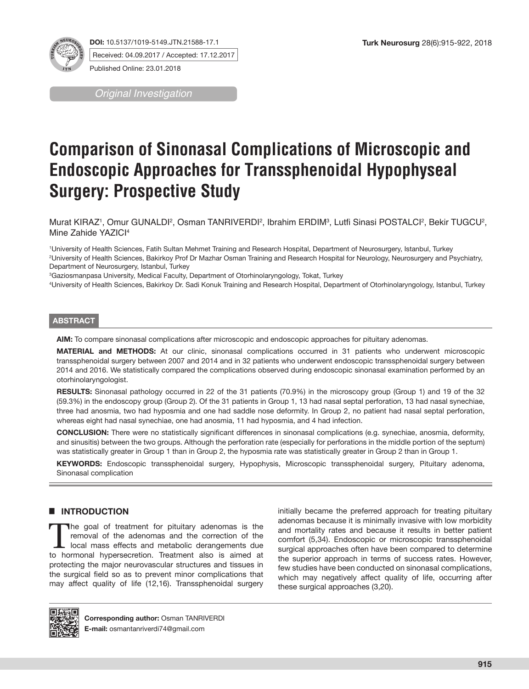

**DOI:** 10.5137/1019-5149.JTN.21588-17.1 **Turk Neurosurg** 28(6):915-922, 2018 Received: 04.09.2017 / Accepted: 17.12.2017

*Original Investigation*

Published Online: 23.01.2018

# **Comparison of Sinonasal Complications of Microscopic and Endoscopic Approaches for Transsphenoidal Hypophyseal Surgery: Prospective Study**

Murat KIRAZ', Omur GUNALDI<sup>2</sup>, Osman TANRIVERDI<sup>2</sup>, Ibrahim ERDIM<sup>3</sup>, Lutfi Sinasi POSTALCI<sup>2</sup>, Bekir TUGCU<sup>2</sup>, Mine Zahide YAZICI<sup>4</sup>

1 University of Health Sciences, Fatih Sultan Mehmet Training and Research Hospital, Department of Neurosurgery, Istanbul, Turkey 2 University of Health Sciences, Bakirkoy Prof Dr Mazhar Osman Training and Research Hospital for Neurology, Neurosurgery and Psychiatry, Department of Neurosurgery, Istanbul, Turkey

3 Gaziosmanpasa University, Medical Faculty, Department of Otorhinolaryngology, Tokat, Turkey

4 University of Health Sciences, Bakirkoy Dr. Sadi Konuk Training and Research Hospital, Department of Otorhinolaryngology, Istanbul, Turkey

### **ABSTRACT**

**AIM:** To compare sinonasal complications after microscopic and endoscopic approaches for pituitary adenomas.

**MATERIAL and METHODS:** At our clinic, sinonasal complications occurred in 31 patients who underwent microscopic transsphenoidal surgery between 2007 and 2014 and in 32 patients who underwent endoscopic transsphenoidal surgery between 2014 and 2016. We statistically compared the complications observed during endoscopic sinonasal examination performed by an otorhinolaryngologist.

**RESULTS:** Sinonasal pathology occurred in 22 of the 31 patients (70.9%) in the microscopy group (Group 1) and 19 of the 32 (59.3%) in the endoscopy group (Group 2). Of the 31 patients in Group 1, 13 had nasal septal perforation, 13 had nasal synechiae, three had anosmia, two had hyposmia and one had saddle nose deformity. In Group 2, no patient had nasal septal perforation, whereas eight had nasal synechiae, one had anosmia, 11 had hyposmia, and 4 had infection.

**CONCLUSION:** There were no statistically significant differences in sinonasal complications (e.g. synechiae, anosmia, deformity, and sinusitis) between the two groups. Although the perforation rate (especially for perforations in the middle portion of the septum) was statistically greater in Group 1 than in Group 2, the hyposmia rate was statistically greater in Group 2 than in Group 1.

**KEYWORDS:** Endoscopic transsphenoidal surgery, Hypophysis, Microscopic transsphenoidal surgery, Pituitary adenoma, Sinonasal complication

## █ **INTRODUCTION**

The goal of treatment for pituitary adenomas is the<br>removal of the adenomas and the correction of the<br>local mass effects and metabolic derangements due<br>to bermonal by<br>persecretion. Treatment also is aimed at removal of the adenomas and the correction of the local mass effects and metabolic derangements due to hormonal hypersecretion. Treatment also is aimed at protecting the major neurovascular structures and tissues in the surgical field so as to prevent minor complications that may affect quality of life (12,16). Transsphenoidal surgery initially became the preferred approach for treating pituitary adenomas because it is minimally invasive with low morbidity and mortality rates and because it results in better patient comfort (5,34). Endoscopic or microscopic transsphenoidal surgical approaches often have been compared to determine the superior approach in terms of success rates. However, few studies have been conducted on sinonasal complications, which may negatively affect quality of life, occurring after these surgical approaches (3,20).

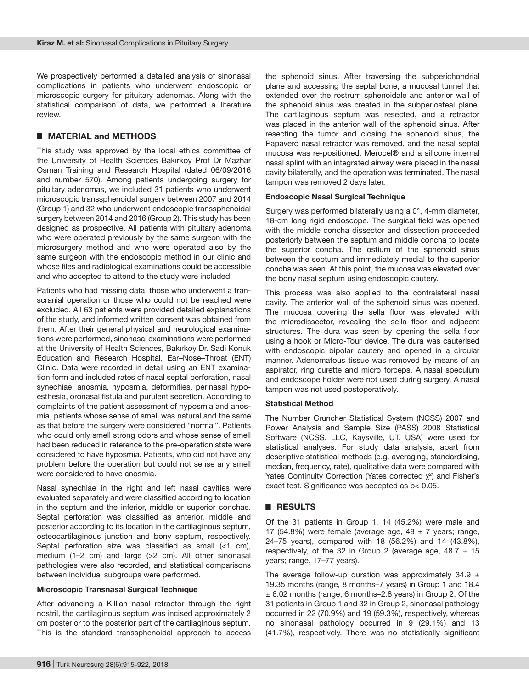We prospectively performed a detailed analysis of sinonasal complications in patients who underwent endoscopic or microscopic surgery for pituitary adenomas. Along with the statistical comparison of data, we performed a literature review.

## █ **MATERIAL and METHODS**

This study was approved by the local ethics committee of the University of Health Sciences Bakırkoy Prof Dr Mazhar Osman Training and Research Hospital (dated 06/09/2016 and number 570). Among patients undergoing surgery for pituitary adenomas, we included 31 patients who underwent microscopic transsphenoidal surgery between 2007 and 2014 (Group 1) and 32 who underwent endoscopic transsphenoidal surgery between 2014 and 2016 (Group 2). This study has been designed as prospective. All patients with pituitary adenoma who were operated previously by the same surgeon with the microsurgery method and who were operated also by the same surgeon with the endoscopic method in our clinic and whose files and radiological examinations could be accessible and who accepted to attend to the study were included.

Patients who had missing data, those who underwent a transcranial operation or those who could not be reached were excluded. All 63 patients were provided detailed explanations of the study, and informed written consent was obtained from them. After their general physical and neurological examinations were performed, sinonasal examinations were performed at the University of Health Sciences, Bakırkoy Dr. Sadi Konuk Education and Research Hospital, Ear–Nose–Throat (ENT) Clinic. Data were recorded in detail using an ENT examination form and included rates of nasal septal perforation, nasal synechiae, anosmia, hyposmia, deformities, perinasal hypoesthesia, oronasal fistula and purulent secretion. According to complaints of the patient assessment of hyposmia and anosmia, patients whose sense of smell was natural and the same as that before the surgery were considered "normal". Patients who could only smell strong odors and whose sense of smell had been reduced in reference to the pre-operation state were considered to have hyposmia. Patients, who did not have any problem before the operation but could not sense any smell were considered to have anosmia.

Nasal synechiae in the right and left nasal cavities were evaluated separately and were classified according to location in the septum and the inferior, middle or superior conchae. Septal perforation was classified as anterior, middle and posterior according to its location in the cartilaginous septum, osteocartilaginous junction and bony septum, respectively. Septal perforation size was classified as small (<1 cm), medium (1–2 cm) and large (>2 cm). All other sinonasal pathologies were also recorded, and statistical comparisons between individual subgroups were performed.

#### **Microscopic Transnasal Surgical Technique**

After advancing a Killian nasal retractor through the right nostril, the cartilaginous septum was incised approximately 2 cm posterior to the posterior part of the cartilaginous septum. This is the standard transsphenoidal approach to access

the sphenoid sinus. After traversing the subperichondrial plane and accessing the septal bone, a mucosal tunnel that extended over the rostrum sphenoidale and anterior wall of the sphenoid sinus was created in the subperiosteal plane. The cartilaginous septum was resected, and a retractor was placed in the anterior wall of the sphenoid sinus. After resecting the tumor and closing the sphenoid sinus, the Papavero nasal retractor was removed, and the nasal septal mucosa was re-positioned. Merocel® and a silicone internal nasal splint with an integrated airway were placed in the nasal cavity bilaterally, and the operation was terminated. The nasal tampon was removed 2 days later.

#### **Endoscopic Nasal Surgical Technique**

Surgery was performed bilaterally using a 0°, 4-mm diameter, 18-cm long rigid endoscope. The surgical field was opened with the middle concha dissector and dissection proceeded posteriorly between the septum and middle concha to locate the superior concha. The ostium of the sphenoid sinus between the septum and immediately medial to the superior concha was seen. At this point, the mucosa was elevated over the bony nasal septum using endoscopic cautery.

This process was also applied to the contralateral nasal cavity. The anterior wall of the sphenoid sinus was opened. The mucosa covering the sella floor was elevated with the microdissector, revealing the sella floor and adjacent structures. The dura was seen by opening the sella floor using a hook or Micro-Tour device. The dura was cauterised with endoscopic bipolar cautery and opened in a circular manner. Adenomatous tissue was removed by means of an aspirator, ring curette and micro forceps. A nasal speculum and endoscope holder were not used during surgery. A nasal tampon was not used postoperatively.

#### **Statistical Method**

The Number Cruncher Statistical System (NCSS) 2007 and Power Analysis and Sample Size (PASS) 2008 Statistical Software (NCSS, LLC, Kaysville, UT, USA) were used for statistical analyses. For study data analysis, apart from descriptive statistical methods (e.g. averaging, standardising, median, frequency, rate), qualitative data were compared with Yates Continuity Correction (Yates corrected  $\chi^2$ ) and Fisher's exact test. Significance was accepted as p< 0.05.

## █ **RESULTS**

Of the 31 patients in Group 1, 14 (45.2%) were male and 17 (54.8%) were female (average age,  $48 \pm 7$  years; range, 24–75 years), compared with 18 (56.2%) and 14 (43.8%), respectively, of the 32 in Group 2 (average age,  $48.7 \pm 15$ years; range, 17–77 years).

The average follow-up duration was approximately  $34.9 \pm$ 19.35 months (range, 8 months–7 years) in Group 1 and 18.4  $\pm$  6.02 months (range, 6 months–2.8 years) in Group 2. Of the 31 patients in Group 1 and 32 in Group 2, sinonasal pathology occurred in 22 (70.9%) and 19 (59.3%), respectively, whereas no sinonasal pathology occurred in 9 (29.1%) and 13 (41.7%), respectively. There was no statistically significant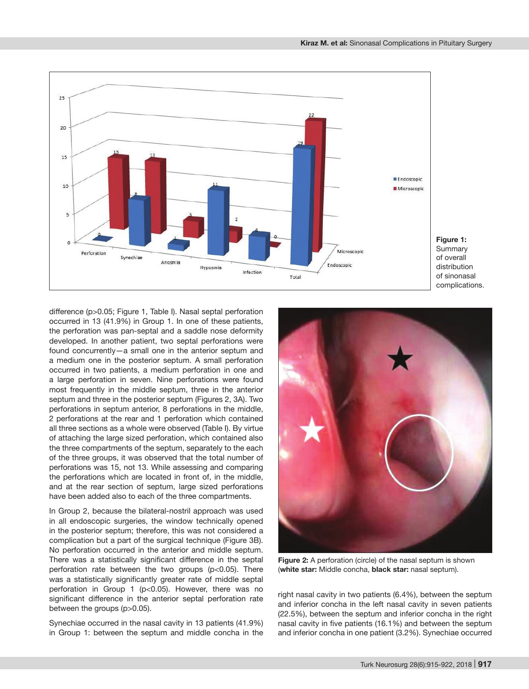

**Figure 1:** Summary of overall distribution of sinonasal complications.

difference (p>0.05; Figure 1, Table I). Nasal septal perforation occurred in 13 (41.9%) in Group 1. In one of these patients, the perforation was pan-septal and a saddle nose deformity developed. In another patient, two septal perforations were found concurrently—a small one in the anterior septum and a medium one in the posterior septum. A small perforation occurred in two patients, a medium perforation in one and a large perforation in seven. Nine perforations were found most frequently in the middle septum, three in the anterior septum and three in the posterior septum (Figures 2, 3A). Two perforations in septum anterior, 8 perforations in the middle, 2 perforations at the rear and 1 perforation which contained all three sections as a whole were observed (Table I). By virtue of attaching the large sized perforation, which contained also the three compartments of the septum, separately to the each of the three groups, it was observed that the total number of perforations was 15, not 13. While assessing and comparing the perforations which are located in front of, in the middle, and at the rear section of septum, large sized perforations have been added also to each of the three compartments.

In Group 2, because the bilateral-nostril approach was used in all endoscopic surgeries, the window technically opened in the posterior septum; therefore, this was not considered a complication but a part of the surgical technique (Figure 3B). No perforation occurred in the anterior and middle septum. There was a statistically significant difference in the septal perforation rate between the two groups (p<0.05). There was a statistically significantly greater rate of middle septal perforation in Group 1 (p<0.05). However, there was no significant difference in the anterior septal perforation rate between the groups (p>0.05).

Synechiae occurred in the nasal cavity in 13 patients (41.9%) in Group 1: between the septum and middle concha in the



**Figure 2:** A perforation (circle) of the nasal septum is shown (**white star:** Middle concha, **black star:** nasal septum).

right nasal cavity in two patients (6.4%), between the septum and inferior concha in the left nasal cavity in seven patients (22.5%), between the septum and inferior concha in the right nasal cavity in five patients (16.1%) and between the septum and inferior concha in one patient (3.2%). Synechiae occurred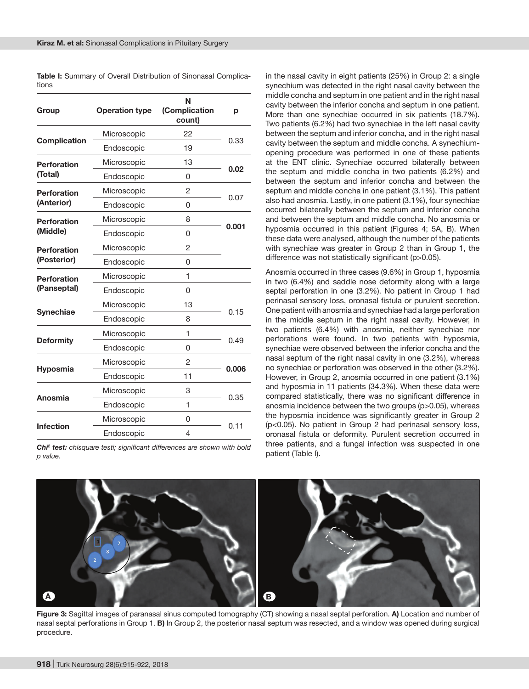**Table I:** Summary of Overall Distribution of Sinonasal Complications

| Group                             | <b>Operation type</b> | N<br>(Complication<br>count) | р     |
|-----------------------------------|-----------------------|------------------------------|-------|
| <b>Complication</b>               | Microscopic           | 22                           | 0.33  |
|                                   | Endoscopic            | 19                           |       |
| <b>Perforation</b><br>(Total)     | Microscopic           | 13                           | 0.02  |
|                                   | Endoscopic            | 0                            |       |
| <b>Perforation</b><br>(Anterior)  | Microscopic           | 2                            | 0.07  |
|                                   | Endoscopic            | 0                            |       |
| <b>Perforation</b><br>(Middle)    | Microscopic           | 8                            | 0.001 |
|                                   | Endoscopic            | 0                            |       |
| <b>Perforation</b><br>(Posterior) | Microscopic           | 2                            |       |
|                                   | Endoscopic            | 0                            |       |
| <b>Perforation</b><br>(Panseptal) | Microscopic           | 1                            |       |
|                                   | Endoscopic            | 0                            |       |
| <b>Synechiae</b>                  | Microscopic           | 13                           | 0.15  |
|                                   | Endoscopic            | 8                            |       |
| <b>Deformity</b>                  | Microscopic           | 1                            | 0.49  |
|                                   | Endoscopic            | 0                            |       |
| <b>Hyposmia</b>                   | Microscopic           | 2                            | 0.006 |
|                                   | Endoscopic            | 11                           |       |
| Anosmia                           | Microscopic           | 3                            | 0.35  |
|                                   | Endoscopic            | 1                            |       |
| <b>Infection</b>                  | Microscopic           | 0                            | 0.11  |
|                                   | Endoscopic            | 4                            |       |

*Chi2 test: chisquare testi; significant differences are shown with bold p value.*

in the nasal cavity in eight patients (25%) in Group 2: a single synechium was detected in the right nasal cavity between the middle concha and septum in one patient and in the right nasal cavity between the inferior concha and septum in one patient. More than one synechiae occurred in six patients (18.7%). Two patients (6.2%) had two synechiae in the left nasal cavity between the septum and inferior concha, and in the right nasal cavity between the septum and middle concha. A synechiumopening procedure was performed in one of these patients at the ENT clinic. Synechiae occurred bilaterally between the septum and middle concha in two patients (6.2%) and between the septum and inferior concha and between the septum and middle concha in one patient (3.1%). This patient also had anosmia. Lastly, in one patient (3.1%), four synechiae occurred bilaterally between the septum and inferior concha and between the septum and middle concha. No anosmia or hyposmia occurred in this patient (Figures 4; 5A, B). When these data were analysed, although the number of the patients with synechiae was greater in Group 2 than in Group 1, the difference was not statistically significant (p>0.05).

Anosmia occurred in three cases (9.6%) in Group 1, hyposmia in two (6.4%) and saddle nose deformity along with a large septal perforation in one (3.2%). No patient in Group 1 had perinasal sensory loss, oronasal fistula or purulent secretion. One patient with anosmia and synechiae had a large perforation in the middle septum in the right nasal cavity. However, in two patients (6.4%) with anosmia, neither synechiae nor perforations were found. In two patients with hyposmia, synechiae were observed between the inferior concha and the nasal septum of the right nasal cavity in one (3.2%), whereas no synechiae or perforation was observed in the other (3.2%). However, in Group 2, anosmia occurred in one patient (3.1%) and hyposmia in 11 patients (34.3%). When these data were compared statistically, there was no significant difference in anosmia incidence between the two groups (p>0.05), whereas the hyposmia incidence was significantly greater in Group 2 (p<0.05). No patient in Group 2 had perinasal sensory loss, oronasal fistula or deformity. Purulent secretion occurred in three patients, and a fungal infection was suspected in one patient (Table I).



**Figure 3:** Sagittal images of paranasal sinus computed tomography (CT) showing a nasal septal perforation. **A)** Location and number of nasal septal perforations in Group 1. **B)** In Group 2, the posterior nasal septum was resected, and a window was opened during surgical procedure.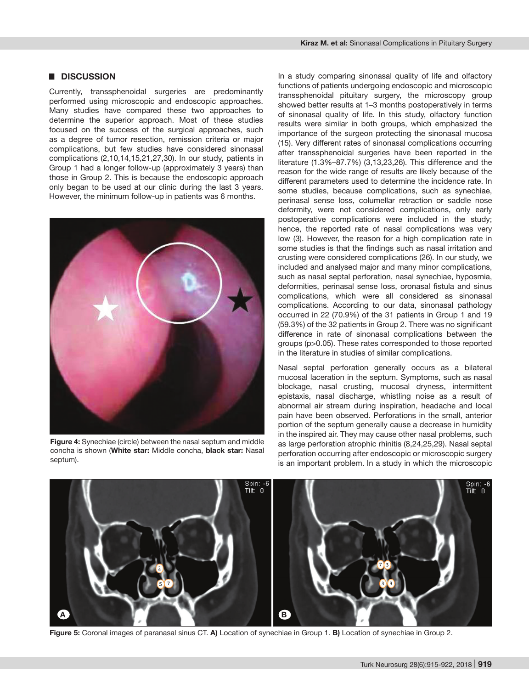#### █ **DISCUSSION**

Currently, transsphenoidal surgeries are predominantly performed using microscopic and endoscopic approaches. Many studies have compared these two approaches to determine the superior approach. Most of these studies focused on the success of the surgical approaches, such as a degree of tumor resection, remission criteria or major complications, but few studies have considered sinonasal complications (2,10,14,15,21,27,30). In our study, patients in Group 1 had a longer follow-up (approximately 3 years) than those in Group 2. This is because the endoscopic approach only began to be used at our clinic during the last 3 years. However, the minimum follow-up in patients was 6 months.



**Figure 4:** Synechiae (circle) between the nasal septum and middle concha is shown (**White star:** Middle concha, **black star:** Nasal septum).

In a study comparing sinonasal quality of life and olfactory functions of patients undergoing endoscopic and microscopic transsphenoidal pituitary surgery, the microscopy group showed better results at 1–3 months postoperatively in terms of sinonasal quality of life. In this study, olfactory function results were similar in both groups, which emphasized the importance of the surgeon protecting the sinonasal mucosa (15). Very different rates of sinonasal complications occurring after transsphenoidal surgeries have been reported in the literature (1.3%–87.7%) (3,13,23,26). This difference and the reason for the wide range of results are likely because of the different parameters used to determine the incidence rate. In some studies, because complications, such as synechiae, perinasal sense loss, columellar retraction or saddle nose deformity, were not considered complications, only early postoperative complications were included in the study; hence, the reported rate of nasal complications was very low (3). However, the reason for a high complication rate in some studies is that the findings such as nasal irritation and crusting were considered complications (26). In our study, we included and analysed major and many minor complications, such as nasal septal perforation, nasal synechiae, hyposmia, deformities, perinasal sense loss, oronasal fistula and sinus complications, which were all considered as sinonasal complications. According to our data, sinonasal pathology occurred in 22 (70.9%) of the 31 patients in Group 1 and 19 (59.3%) of the 32 patients in Group 2. There was no significant difference in rate of sinonasal complications between the groups (p>0.05). These rates corresponded to those reported in the literature in studies of similar complications.

Nasal septal perforation generally occurs as a bilateral mucosal laceration in the septum. Symptoms, such as nasal blockage, nasal crusting, mucosal dryness, intermittent epistaxis, nasal discharge, whistling noise as a result of abnormal air stream during inspiration, headache and local pain have been observed. Perforations in the small, anterior portion of the septum generally cause a decrease in humidity in the inspired air. They may cause other nasal problems, such as large perforation atrophic rhinitis (8,24,25,29). Nasal septal perforation occurring after endoscopic or microscopic surgery is an important problem. In a study in which the microscopic



**Figure 5:** Coronal images of paranasal sinus CT. **A)** Location of synechiae in Group 1. **B)** Location of synechiae in Group 2.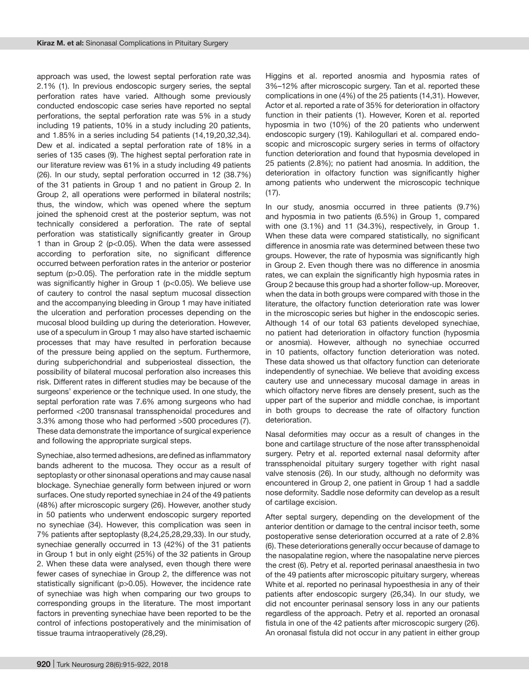approach was used, the lowest septal perforation rate was 2.1% (1). In previous endoscopic surgery series, the septal perforation rates have varied. Although some previously conducted endoscopic case series have reported no septal perforations, the septal perforation rate was 5% in a study including 19 patients, 10% in a study including 20 patients, and 1.85% in a series including 54 patients (14,19,20,32,34). Dew et al. indicated a septal perforation rate of 18% in a series of 135 cases (9). The highest septal perforation rate in our literature review was 61% in a study including 49 patients (26). In our study, septal perforation occurred in 12 (38.7%) of the 31 patients in Group 1 and no patient in Group 2. In Group 2, all operations were performed in bilateral nostrils; thus, the window, which was opened where the septum joined the sphenoid crest at the posterior septum, was not technically considered a perforation. The rate of septal perforation was statistically significantly greater in Group 1 than in Group 2 (p<0.05). When the data were assessed according to perforation site, no significant difference occurred between perforation rates in the anterior or posterior septum (p>0.05). The perforation rate in the middle septum was significantly higher in Group 1 (p<0.05). We believe use of cautery to control the nasal septum mucosal dissection and the accompanying bleeding in Group 1 may have initiated the ulceration and perforation processes depending on the mucosal blood building up during the deterioration. However, use of a speculum in Group 1 may also have started ischaemic processes that may have resulted in perforation because of the pressure being applied on the septum. Furthermore, during subperichondrial and subperiosteal dissection, the possibility of bilateral mucosal perforation also increases this risk. Different rates in different studies may be because of the surgeons' experience or the technique used. In one study, the septal perforation rate was 7.6% among surgeons who had performed <200 transnasal transsphenoidal procedures and 3.3% among those who had performed >500 procedures (7). These data demonstrate the importance of surgical experience and following the appropriate surgical steps.

Synechiae, also termed adhesions, are defined as inflammatory bands adherent to the mucosa. They occur as a result of septoplasty or other sinonasal operations and may cause nasal blockage. Synechiae generally form between injured or worn surfaces. One study reported synechiae in 24 of the 49 patients (48%) after microscopic surgery (26). However, another study in 50 patients who underwent endoscopic surgery reported no synechiae (34). However, this complication was seen in 7% patients after septoplasty (8,24,25,28,29,33). In our study, synechiae generally occurred in 13 (42%) of the 31 patients in Group 1 but in only eight (25%) of the 32 patients in Group 2. When these data were analysed, even though there were fewer cases of synechiae in Group 2, the difference was not statistically significant (p>0.05). However, the incidence rate of synechiae was high when comparing our two groups to corresponding groups in the literature. The most important factors in preventing synechiae have been reported to be the control of infections postoperatively and the minimisation of tissue trauma intraoperatively (28,29).

Higgins et al. reported anosmia and hyposmia rates of 3%–12% after microscopic surgery. Tan et al. reported these complications in one (4%) of the 25 patients (14,31). However, Actor et al. reported a rate of 35% for deterioration in olfactory function in their patients (1). However, Koren et al. reported hyposmia in two (10%) of the 20 patients who underwent endoscopic surgery (19). Kahilogullari et al. compared endoscopic and microscopic surgery series in terms of olfactory function deterioration and found that hyposmia developed in 25 patients (2.8%); no patient had anosmia. In addition, the deterioration in olfactory function was significantly higher among patients who underwent the microscopic technique  $(17)$ .

In our study, anosmia occurred in three patients (9.7%) and hyposmia in two patients (6.5%) in Group 1, compared with one (3.1%) and 11 (34.3%), respectively, in Group 1. When these data were compared statistically, no significant difference in anosmia rate was determined between these two groups. However, the rate of hyposmia was significantly high in Group 2. Even though there was no difference in anosmia rates, we can explain the significantly high hyposmia rates in Group 2 because this group had a shorter follow-up. Moreover, when the data in both groups were compared with those in the literature, the olfactory function deterioration rate was lower in the microscopic series but higher in the endoscopic series. Although 14 of our total 63 patients developed synechiae, no patient had deterioration in olfactory function (hyposmia or anosmia). However, although no synechiae occurred in 10 patients, olfactory function deterioration was noted. These data showed us that olfactory function can deteriorate independently of synechiae. We believe that avoiding excess cautery use and unnecessary mucosal damage in areas in which olfactory nerve fibres are densely present, such as the upper part of the superior and middle conchae, is important in both groups to decrease the rate of olfactory function deterioration.

Nasal deformities may occur as a result of changes in the bone and cartilage structure of the nose after transsphenoidal surgery. Petry et al. reported external nasal deformity after transsphenoidal pituitary surgery together with right nasal valve stenosis (26). In our study, although no deformity was encountered in Group 2, one patient in Group 1 had a saddle nose deformity. Saddle nose deformity can develop as a result of cartilage excision.

After septal surgery, depending on the development of the anterior dentition or damage to the central incisor teeth, some postoperative sense deterioration occurred at a rate of 2.8% (6). These deteriorations generally occur because of damage to the nasopalatine region, where the nasopalatine nerve pierces the crest (6). Petry et al. reported perinasal anaesthesia in two of the 49 patients after microscopic pituitary surgery, whereas White et al. reported no perinasal hypoesthesia in any of their patients after endoscopic surgery (26,34). In our study, we did not encounter perinasal sensory loss in any our patients regardless of the approach. Petry et al. reported an oronasal fistula in one of the 42 patients after microscopic surgery (26). An oronasal fistula did not occur in any patient in either group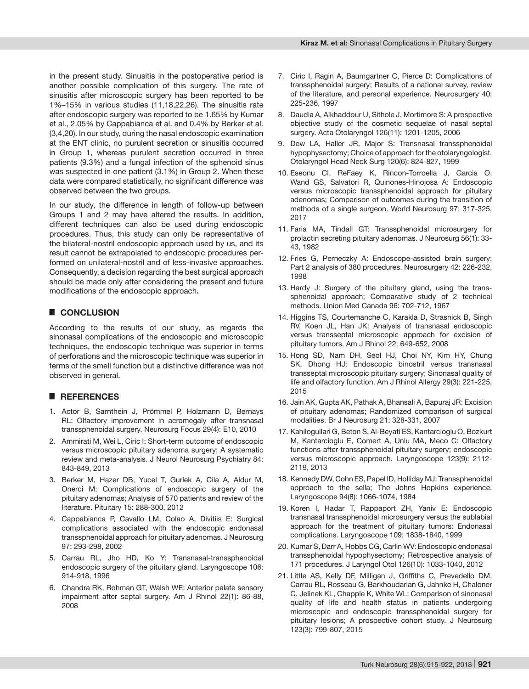in the present study. Sinusitis in the postoperative period is another possible complication of this surgery. The rate of sinusitis after microscopic surgery has been reported to be 1%–15% in various studies (11,18,22,26). The sinusitis rate after endoscopic surgery was reported to be 1.65% by Kumar et al., 2.05% by Cappabianca et al. and 0.4% by Berker et al. (3,4,20). In our study, during the nasal endoscopic examination at the ENT clinic, no purulent secretion or sinusitis occurred in Group 1, whereas purulent secretion occurred in three patients (9.3%) and a fungal infection of the sphenoid sinus was suspected in one patient (3.1%) in Group 2. When these data were compared statistically, no significant difference was observed between the two groups.

In our study, the difference in length of follow-up between Groups 1 and 2 may have altered the results. In addition, different techniques can also be used during endoscopic procedures. Thus, this study can only be representative of the bilateral-nostril endoscopic approach used by us, and its result cannot be extrapolated to endoscopic procedures performed on unilateral-nostril and of less-invasive approaches. Consequently, a decision regarding the best surgical approach should be made only after considering the present and future modifications of the endoscopic approach**.**

### █ **CONCLUSION**

According to the results of our study, as regards the sinonasal complications of the endoscopic and microscopic techniques, the endoscopic technique was superior in terms of perforations and the microscopic technique was superior in terms of the smell function but a distinctive difference was not observed in general.

#### █ **REFERENCES**

- 1. Actor B, Sarnthein J, Prömmel P, Holzmann D, Bernays RL: Olfactory improvement in acromegaly after transnasal transsphenoidal surgery. Neurosurg Focus 29(4): E10, 2010
- 2. Ammirati M, Wei L, Ciric I: Short-term outcome of endoscopic versus microscopic pituitary adenoma surgery; A systematic review and meta-analysis. J Neurol Neurosurg Psychiatry 84: 843-849, 2013
- 3. Berker M, Hazer DB, Yucel T, Gurlek A, Cila A, Aldur M, Onerci M: Complications of endoscopic surgery of the pituitary adenomas; Analysis of 570 patients and review of the literature. Pituitary 15: 288-300, 2012
- 4. Cappabianca P, Cavallo LM, Colao A, Divitiis E: Surgical complications associated with the endoscopic endonasal transsphenoidal approach for pituitary adenomas. J Neurosurg 97: 293-298, 2002
- 5. Carrau RL, Jho HD, Ko Y: Transnasal-transsphenoidal endoscopic surgery of the pituitary gland. Laryngoscope 106: 914-918, 1996
- 6. Chandra RK, Rohman GT, Walsh WE: Anterior palate sensory impairment after septal surgery. Am J Rhinol 22(1): 86-88, 2008
- 7. Ciric I, Ragin A, Baumgartner C, Pierce D: Complications of transsphenoidal surgery; Results of a national survey, review of the literature, and personal experience. Neurosurgery 40: 225-236, 1997
- 8. Daudia A, Alkhaddour U, Sithole J, Mortimore S: A prospective objective study of the cosmetic sequelae of nasal septal surgery. Acta Otolaryngol 126(11): 1201-1205, 2006
- 9. Dew LA, Haller JR, Major S: Transnasal transsphenoidal hypophysectomy; Choice of approach for the otolaryngologist. Otolaryngol Head Neck Surg 120(6): 824-827, 1999
- 10. Eseonu CI, ReFaey K, Rincon-Torroella J, Garcia O, Wand GS, Salvatori R, Quinones-Hinojosa A: Endoscopic versus microscopic transsphenoidal approach for pituitary adenomas; Comparison of outcomes during the transition of methods of a single surgeon. World Neurosurg 97: 317-325, 2017
- 11. Faria MA, Tindall GT: Transsphenoidal microsurgery for prolactin secreting pituitary adenomas. J Neurosurg 56(1): 33- 43, 1982
- 12. Fries G, Perneczky A: Endoscope-assisted brain surgery; Part 2 analysis of 380 procedures. Neurosurgery 42: 226-232, 1998
- 13. Hardy J: Surgery of the pituitary gland, using the transsphenoidal approach; Comparative study of 2 technical methods. Union Med Canada 96: 702-712, 1967
- 14. Higgins TS, Courtemanche C, Karakla D, Strasnick B, Singh RV, Koen JL, Han JK: Analysis of transnasal endoscopic versus transseptal microscopic approach for excision of pituitary tumors. Am J Rhinol 22: 649-652, 2008
- 15. Hong SD, Nam DH, Seol HJ, Choi NY, Kim HY, Chung SK, Dhong HJ: Endoscopic binostril versus transnasal transseptal microscopic pituitary surgery; Sinonasal quality of life and olfactory function. Am J Rhinol Allergy 29(3): 221-225, 2015
- 16. Jain AK, Gupta AK, Pathak A, Bhansali A, Bapuraj JR: Excision of pituitary adenomas; Randomized comparison of surgical modalities. Br J Neurosurg 21: 328-331, 2007
- 17. Kahilogullari G, Beton S, Al-Beyati ES, Kantarcioglu O, Bozkurt M, Kantarcioglu E, Comert A, Unlu MA, Meco C: Olfactory functions after transsphenoidal pituitary surgery; endoscopic versus microscopic approach. Laryngoscope 123(9): 2112- 2119, 2013
- 18. Kennedy DW, Cohn ES, Papel ID, Holliday MJ: Transsphenoidal approach to the sella; The Johns Hopkins experience. Laryngoscope 94(8): 1066-1074, 1984
- 19. Koren I, Hadar T, Rappaport ZH, Yaniv E: Endoscopic transnasal transsphenoidal microsurgery versus the sublabial approach for the treatment of pituitary tumors: Endonasal complications. Laryngoscope 109: 1838-1840, 1999
- 20. Kumar S, Darr A, Hobbs CG, Carlin WV: Endoscopic endonasal transsphenoidal hypophysectomy; Retrospective analysis of 171 procedures. J Laryngol Otol 126(10): 1033-1040, 2012
- 21. Little AS, Kelly DF, Milligan J, Griffiths C, Prevedello DM, Carrau RL, Rosseau G, Barkhoudarian G, Jahnke H, Chaloner C, Jelinek KL, Chapple K, White WL: Comparison of sinonasal quality of life and health status in patients undergoing microscopic and endoscopic transsphenoidal surgery for pituitary lesions; A prospective cohort study. J Neurosurg 123(3): 799-807, 2015